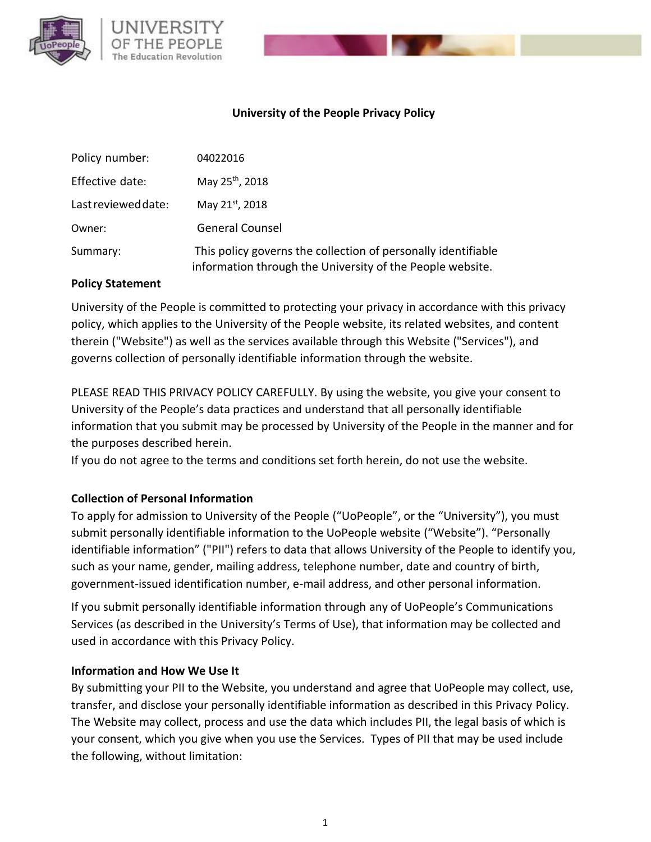

### **University of the People Privacy Policy**

| Policy number:      | 04022016                                                                                                                   |
|---------------------|----------------------------------------------------------------------------------------------------------------------------|
| Effective date:     | May 25 <sup>th</sup> , 2018                                                                                                |
| Last reviewed date: | May 21st, 2018                                                                                                             |
| Owner:              | <b>General Counsel</b>                                                                                                     |
| Summary:            | This policy governs the collection of personally identifiable<br>information through the University of the People website. |

#### **Policy Statement**

University of the People is committed to protecting your privacy in accordance with this privacy policy, which applies to the University of the People website, its related websites, and content therein ("Website") as well as the services available through this Website ("Services"), and governs collection of personally identifiable information through the website.

PLEASE READ THIS PRIVACY POLICY CAREFULLY. By using the website, you give your consent to University of the People's data practices and understand that all personally identifiable information that you submit may be processed by University of the People in the manner and for the purposes described herein.

If you do not agree to the terms and conditions set forth herein, do not use the website.

#### **Collection of Personal Information**

To apply for admission to University of the People ("UoPeople", or the "University"), you must submit personally identifiable information to the UoPeople website ("Website"). "Personally identifiable information" ("PII") refers to data that allows University of the People to identify you, such as your name, gender, mailing address, telephone number, date and country of birth, government-issued identification number, e-mail address, and other personal information.

If you submit personally identifiable information through any of UoPeople's Communications Services (as described in the University's [Terms of Use\)](http://uopeople.edu/groups/terms_of_use), that information may be collected and used in accordance with this Privacy Policy.

#### **Information and How We Use It**

By submitting your PII to the Website, you understand and agree that UoPeople may collect, use, transfer, and disclose your personally identifiable information as described in this Privacy Policy. The Website may collect, process and use the data which includes PII, the legal basis of which is your consent, which you give when you use the Services. Types of PII that may be used include the following, without limitation: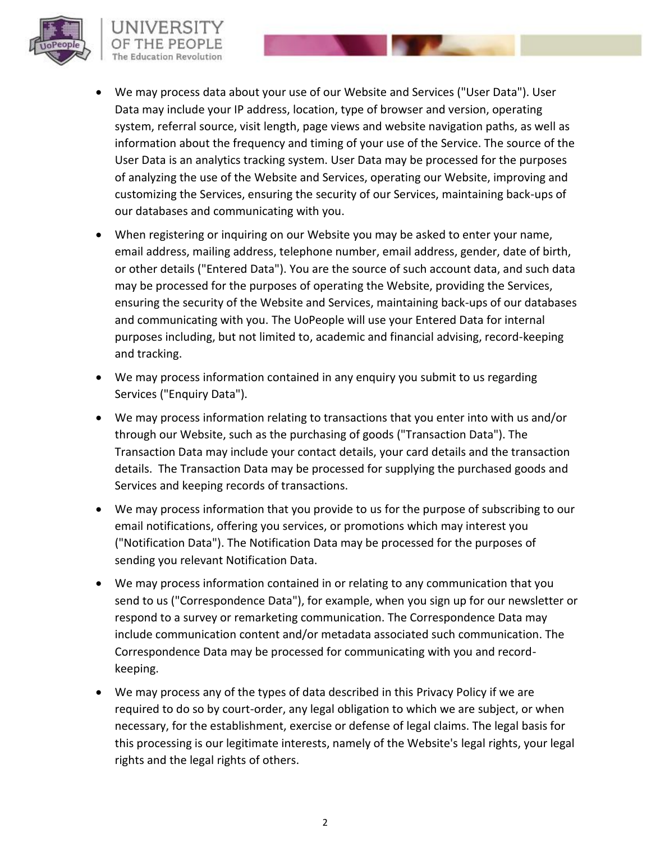

# UNIVERSI

- We may process data about your use of our Website and Services ("User Data"). User Data may include your IP address, location, type of browser and version, operating system, referral source, visit length, page views and website navigation paths, as well as information about the frequency and timing of your use of the Service. The source of the User Data is an analytics tracking system. User Data may be processed for the purposes of analyzing the use of the Website and Services, operating our Website, improving and customizing the Services, ensuring the security of our Services, maintaining back-ups of our databases and communicating with you.
- When registering or inquiring on our Website you may be asked to enter your name, email address, mailing address, telephone number, email address, gender, date of birth, or other details ("Entered Data"). You are the source of such account data, and such data may be processed for the purposes of operating the Website, providing the Services, ensuring the security of the Website and Services, maintaining back-ups of our databases and communicating with you. The UoPeople will use your Entered Data for internal purposes including, but not limited to, academic and financial advising, record-keeping and tracking.
- We may process information contained in any enquiry you submit to us regarding Services ("Enquiry Data").
- We may process information relating to transactions that you enter into with us and/or through our Website, such as the purchasing of goods ("Transaction Data"). The Transaction Data may include your contact details, your card details and the transaction details. The Transaction Data may be processed for supplying the purchased goods and Services and keeping records of transactions.
- We may process information that you provide to us for the purpose of subscribing to our email notifications, offering you services, or promotions which may interest you ("Notification Data"). The Notification Data may be processed for the purposes of sending you relevant Notification Data.
- We may process information contained in or relating to any communication that you send to us ("Correspondence Data"), for example, when you sign up for our newsletter or respond to a survey or remarketing communication. The Correspondence Data may include communication content and/or metadata associated such communication. The Correspondence Data may be processed for communicating with you and recordkeeping.
- We may process any of the types of data described in this Privacy Policy if we are required to do so by court-order, any legal obligation to which we are subject, or when necessary, for the establishment, exercise or defense of legal claims. The legal basis for this processing is our legitimate interests, namely of the Website's legal rights, your legal rights and the legal rights of others.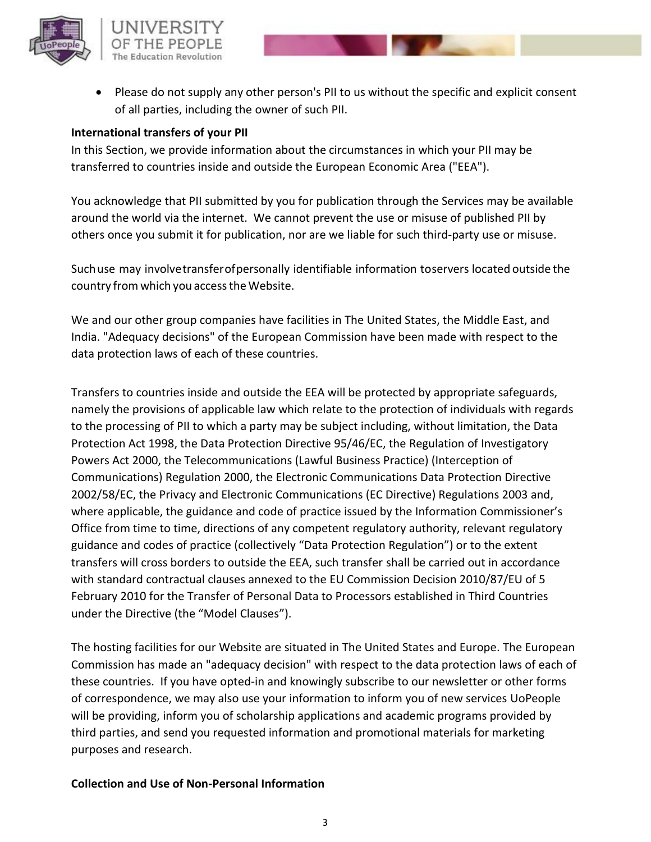

• Please do not supply any other person's PII to us without the specific and explicit consent of all parties, including the owner of such PII.

#### **International transfers of your PII**

In this Section, we provide information about the circumstances in which your PII may be transferred to countries inside and outside the European Economic Area ("EEA").

You acknowledge that PII submitted by you for publication through the Services may be available around the world via the internet. We cannot prevent the use or misuse of published PII by others once you submit it for publication, nor are we liable for such third-party use or misuse.

Suchuse may involvetransferofpersonally identifiable information toservers located outside the country from which you access the Website.

We and our other group companies have facilities in The United States, the Middle East, and India. "Adequacy decisions" of the European Commission have been made with respect to the data protection laws of each of these countries.

Transfers to countries inside and outside the EEA will be protected by appropriate safeguards, namely the provisions of applicable law which relate to the protection of individuals with regards to the processing of PII to which a party may be subject including, without limitation, the Data Protection Act 1998, the Data Protection Directive 95/46/EC, the Regulation of Investigatory Powers Act 2000, the Telecommunications (Lawful Business Practice) (Interception of Communications) Regulation 2000, the Electronic Communications Data Protection Directive 2002/58/EC, the Privacy and Electronic Communications (EC Directive) Regulations 2003 and, where applicable, the guidance and code of practice issued by the Information Commissioner's Office from time to time, directions of any competent regulatory authority, relevant regulatory guidance and codes of practice (collectively "Data Protection Regulation") or to the extent transfers will cross borders to outside the EEA, such transfer shall be carried out in accordance with standard contractual clauses annexed to the EU Commission Decision 2010/87/EU of 5 February 2010 for the Transfer of Personal Data to Processors established in Third Countries under the Directive (the "Model Clauses").

The hosting facilities for our Website are situated in The United States and Europe. The European Commission has made an "adequacy decision" with respect to the data protection laws of each of these countries. If you have opted-in and knowingly subscribe to our newsletter or other forms of correspondence, we may also use your information to inform you of new services UoPeople will be providing, inform you of scholarship applications and academic programs provided by third parties, and send you requested information and promotional materials for marketing purposes and research.

#### **Collection and Use of Non-Personal Information**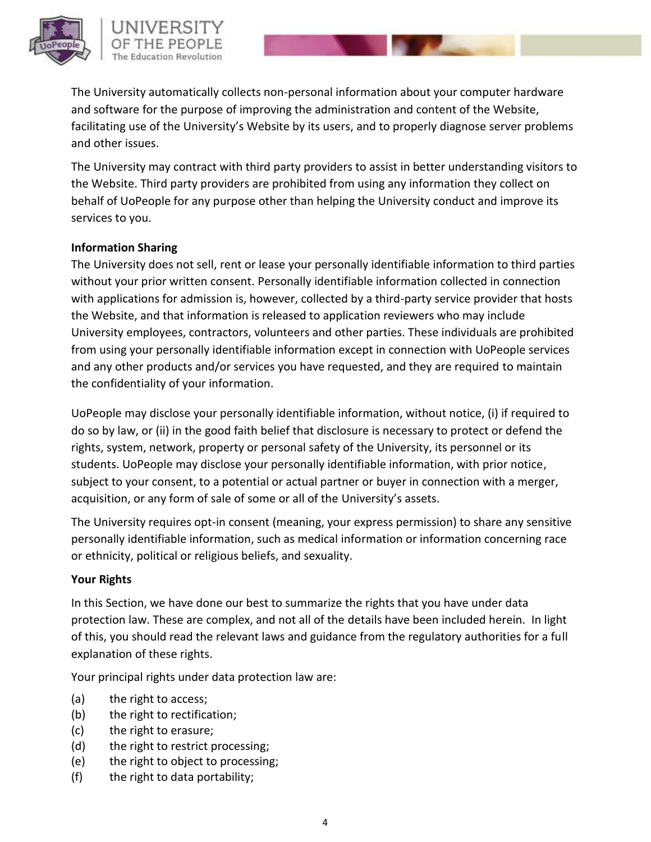

The University automatically collects non-personal information about your computer hardware and software for the purpose of improving the administration and content of the Website, facilitating use of the University's Website by its users, and to properly diagnose server problems and other issues.

The University may contract with third party providers to assist in better understanding visitors to the Website. Third party providers are prohibited from using any information they collect on behalf of UoPeople for any purpose other than helping the University conduct and improve its services to you.

#### **Information Sharing**

The University does not sell, rent or lease your personally identifiable information to third parties without your prior written consent. Personally identifiable information collected in connection with applications for admission is, however, collected by a third-party service provider that hosts the Website, and that information is released to application reviewers who may include University employees, contractors, volunteers and other parties. These individuals are prohibited from using your personally identifiable information except in connection with UoPeople services and any other products and/or services you have requested, and they are required to maintain the confidentiality of your information.

UoPeople may disclose your personally identifiable information, without notice, (i) if required to do so by law, or (ii) in the good faith belief that disclosure is necessary to protect or defend the rights, system, network, property or personal safety of the University, its personnel or its students. UoPeople may disclose your personally identifiable information, with prior notice, subject to your consent, to a potential or actual partner or buyer in connection with a merger, acquisition, or any form of sale of some or all of the University's assets.

The University requires opt-in consent (meaning, your express permission) to share any sensitive personally identifiable information, such as medical information or information concerning race or ethnicity, political or religious beliefs, and sexuality.

#### **Your Rights**

In this Section, we have done our best to summarize the rights that you have under data protection law. These are complex, and not all of the details have been included herein. In light of this, you should read the relevant laws and guidance from the regulatory authorities for a full explanation of these rights.

Your principal rights under data protection law are:

- (a) the right to access;
- (b) the right to rectification;
- (c) the right to erasure;
- (d) the right to restrict processing;
- (e) the right to object to processing;
- (f) the right to data portability;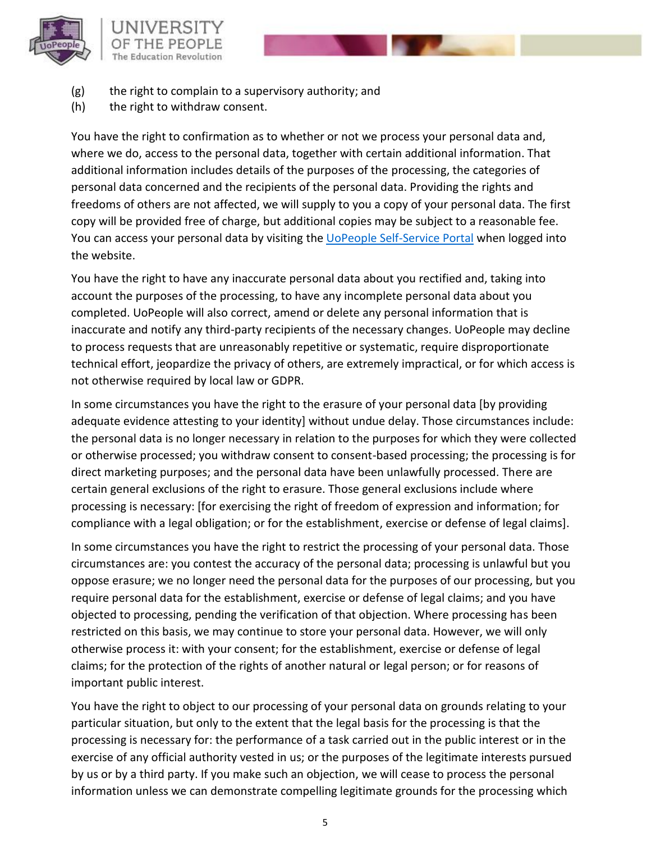

- (g) the right to complain to a supervisory authority; and
- (h) the right to withdraw consent.

You have the right to confirmation as to whether or not we process your personal data and, where we do, access to the personal data, together with certain additional information. That additional information includes details of the purposes of the processing, the categories of personal data concerned and the recipients of the personal data. Providing the rights and freedoms of others are not affected, we will supply to you a copy of your personal data. The first copy will be provided free of charge, but additional copies may be subject to a reasonable fee. You can access your personal data by visiting the [UoPeople Self-Service Portal](https://your.uopeople.edu/) when logged into the website.

You have the right to have any inaccurate personal data about you rectified and, taking into account the purposes of the processing, to have any incomplete personal data about you completed. UoPeople will also correct, amend or delete any personal information that is inaccurate and notify any third-party recipients of the necessary changes. UoPeople may decline to process requests that are unreasonably repetitive or systematic, require disproportionate technical effort, jeopardize the privacy of others, are extremely impractical, or for which access is not otherwise required by local law or GDPR.

In some circumstances you have the right to the erasure of your personal data [by providing adequate evidence attesting to your identity] without undue delay. Those circumstances include: the personal data is no longer necessary in relation to the purposes for which they were collected or otherwise processed; you withdraw consent to consent-based processing; the processing is for direct marketing purposes; and the personal data have been unlawfully processed. There are certain general exclusions of the right to erasure. Those general exclusions include where processing is necessary: [for exercising the right of freedom of expression and information; for compliance with a legal obligation; or for the establishment, exercise or defense of legal claims].

In some circumstances you have the right to restrict the processing of your personal data. Those circumstances are: you contest the accuracy of the personal data; processing is unlawful but you oppose erasure; we no longer need the personal data for the purposes of our processing, but you require personal data for the establishment, exercise or defense of legal claims; and you have objected to processing, pending the verification of that objection. Where processing has been restricted on this basis, we may continue to store your personal data. However, we will only otherwise process it: with your consent; for the establishment, exercise or defense of legal claims; for the protection of the rights of another natural or legal person; or for reasons of important public interest.

You have the right to object to our processing of your personal data on grounds relating to your particular situation, but only to the extent that the legal basis for the processing is that the processing is necessary for: the performance of a task carried out in the public interest or in the exercise of any official authority vested in us; or the purposes of the legitimate interests pursued by us or by a third party. If you make such an objection, we will cease to process the personal information unless we can demonstrate compelling legitimate grounds for the processing which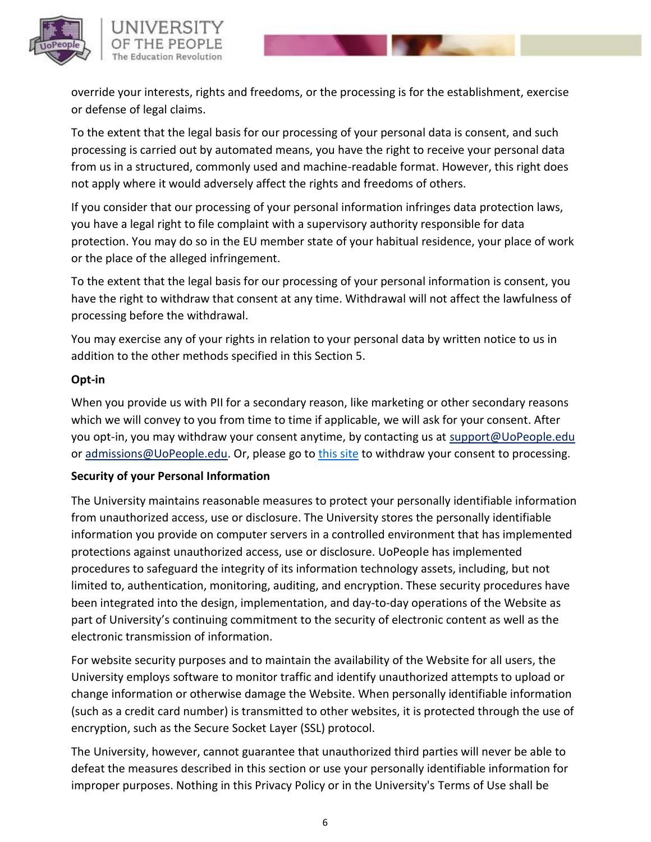

override your interests, rights and freedoms, or the processing is for the establishment, exercise or defense of legal claims.

To the extent that the legal basis for our processing of your personal data is consent, and such processing is carried out by automated means, you have the right to receive your personal data from us in a structured, commonly used and machine-readable format. However, this right does not apply where it would adversely affect the rights and freedoms of others.

If you consider that our processing of your personal information infringes data protection laws, you have a legal right to file complaint with a supervisory authority responsible for data protection. You may do so in the EU member state of your habitual residence, your place of work or the place of the alleged infringement.

To the extent that the legal basis for our processing of your personal information is consent, you have the right to withdraw that consent at any time. Withdrawal will not affect the lawfulness of processing before the withdrawal.

You may exercise any of your rights in relation to your personal data by written notice to us in addition to the other methods specified in this Section 5.

# **Opt-in**

When you provide us with PII for a secondary reason, like marketing or other secondary reasons which we will convey to you from time to time if applicable, we will ask for your consent. After you opt-in, you may withdraw your consent anytime, by contacting us at [support@UoPeople.edu](mailto:support@UoPeople.edu) or [admissions@UoPeople.edu.](mailto:admissions@UoPeople.edu) Or, please go to [this site](https://form.jotform.me/81422860158456) to withdraw your consent to processing.

#### **Security of your Personal Information**

The University maintains reasonable measures to protect your personally identifiable information from unauthorized access, use or disclosure. The University stores the personally identifiable information you provide on computer servers in a controlled environment that has implemented protections against unauthorized access, use or disclosure. UoPeople has implemented procedures to safeguard the integrity of its information technology assets, including, but not limited to, authentication, monitoring, auditing, and encryption. These security procedures have been integrated into the design, implementation, and day-to-day operations of the Website as part of University's continuing commitment to the security of electronic content as well as the electronic transmission of information.

For website security purposes and to maintain the availability of the Website for all users, the University employs software to monitor traffic and identify unauthorized attempts to upload or change information or otherwise damage the Website. When personally identifiable information (such as a credit card number) is transmitted to other websites, it is protected through the use of encryption, such as the Secure Socket Layer (SSL) protocol.

The University, however, cannot guarantee that unauthorized third parties will never be able to defeat the measures described in this section or use your personally identifiable information for improper purposes. Nothing in this Privacy Policy or in the University's [Terms of Use s](http://uopeople.edu/groups/terms_of_use)hall be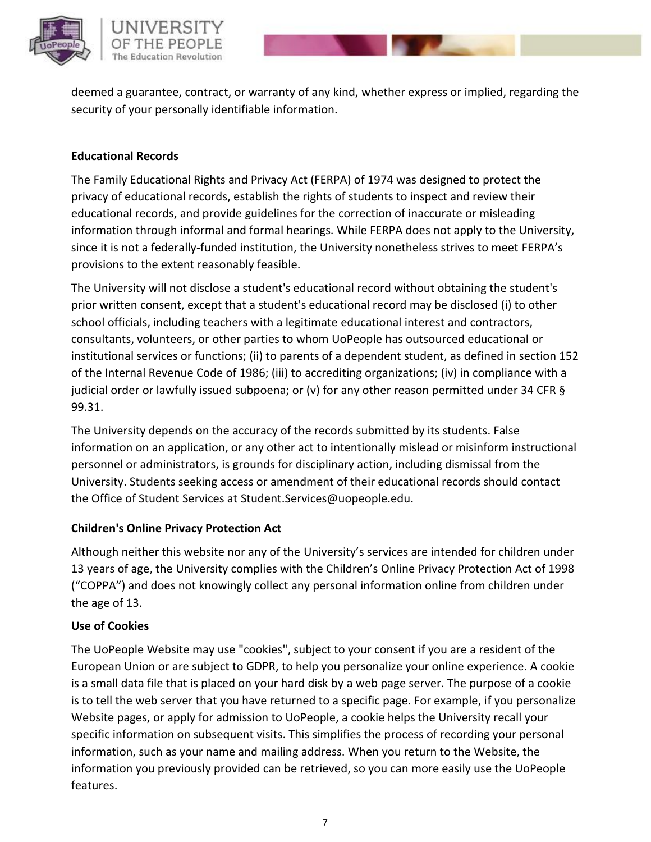

deemed a guarantee, contract, or warranty of any kind, whether express or implied, regarding the security of your personally identifiable information.

### **Educational Records**

The Family Educational Rights and Privacy Act (FERPA) of 1974 was designed to protect the privacy of educational records, establish the rights of students to inspect and review their educational records, and provide guidelines for the correction of inaccurate or misleading information through informal and formal hearings. While FERPA does not apply to the University, since it is not a federally-funded institution, the University nonetheless strives to meet FERPA's provisions to the extent reasonably feasible.

The University will not disclose a student's educational record without obtaining the student's prior written consent, except that a student's educational record may be disclosed (i) to other school officials, including teachers with a legitimate educational interest and contractors, consultants, volunteers, or other parties to whom UoPeople has outsourced educational or institutional services or functions; (ii) to parents of a dependent student, as defined in section 152 of the Internal Revenue Code of 1986; (iii) to accrediting organizations; (iv) in compliance with a judicial order or lawfully issued subpoena; or (v) for any other reason permitted under 34 CFR § 99.31.

The University depends on the accuracy of the records submitted by its students. False information on an application, or any other act to intentionally mislead or misinform instructional personnel or administrators, is grounds for disciplinary action, including dismissal from the University. Students seeking access or amendment of their educational records should contact the Office of Student Services at [Student.Services@uopeople.edu.](mailto:Student.Services@uopeople.edu)

#### **Children's Online Privacy Protection Act**

Although neither this website nor any of the University's services are intended for children under 13 years of age, the University complies with the Children's Online Privacy Protection Act of 1998 ("COPPA") and does not knowingly collect any personal information online from children under the age of 13.

# **Use of Cookies**

The UoPeople Website may use "cookies", subject to your consent if you are a resident of the European Union or are subject to GDPR, to help you personalize your online experience. A cookie is a small data file that is placed on your hard disk by a web page server. The purpose of a cookie is to tell the web server that you have returned to a specific page. For example, if you personalize Website pages, or apply for admission to UoPeople, a cookie helps the University recall your specific information on subsequent visits. This simplifies the process of recording your personal information, such as your name and mailing address. When you return to the Website, the information you previously provided can be retrieved, so you can more easily use the UoPeople features.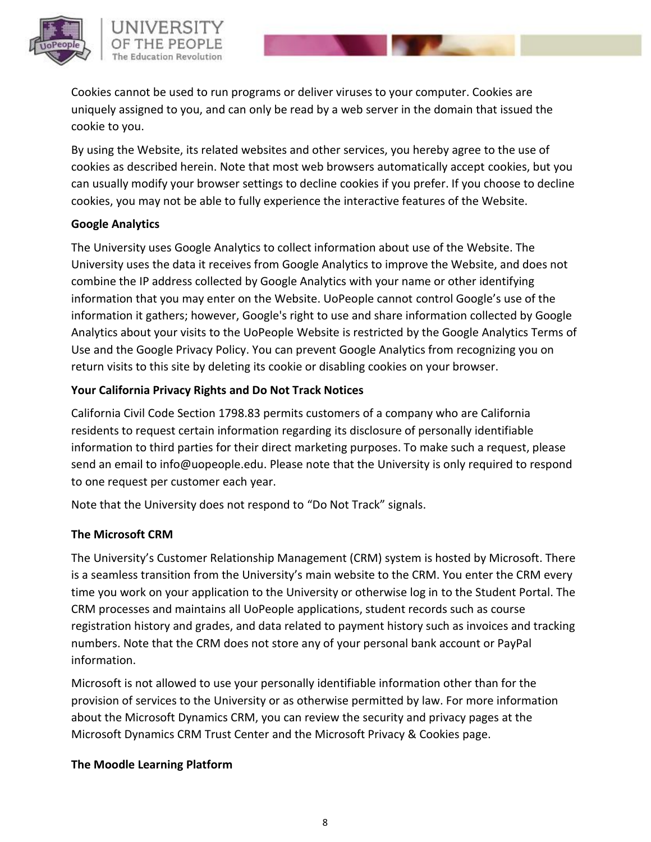

Cookies cannot be used to run programs or deliver viruses to your computer. Cookies are uniquely assigned to you, and can only be read by a web server in the domain that issued the cookie to you.

By using the Website, its related websites and other services, you hereby agree to the use of cookies as described herein. Note that most web browsers automatically accept cookies, but you can usually modify your browser settings to decline cookies if you prefer. If you choose to decline cookies, you may not be able to fully experience the interactive features of the Website.

#### **Google Analytics**

The University uses Google Analytics to collect information about use of the Website. The University uses the data it receives from Google Analytics to improve the Website, and does not combine the IP address collected by Google Analytics with your name or other identifying information that you may enter on the Website. UoPeople cannot control Google's use of the information it gathers; however, Google's right to use and share information collected by Google Analytics about your visits to the UoPeople Website is restricted by the Google Analytics [Terms of](http://www.google.com/analytics/tos.html)  [Use a](http://www.google.com/analytics/tos.html)nd the Google [Privacy Policy. Y](http://www.google.com/policies/privacy/)ou can prevent Google Analytics from recognizing you on return visits to this site by deleting its cookie or disabling cookies on your browser.

# **Your California Privacy Rights and Do Not Track Notices**

California Civil Code Section 1798.83 permits customers of a company who are California residents to request certain information regarding its disclosure of personally identifiable information to third parties for their direct marketing purposes. To make such a request, please send an email to [info@uopeople.edu. P](mailto:info@uopeople.edu)lease note that the University is only required to respond to one request per customer each year.

Note that the University does not respond to "Do Not Track" signals.

# **The Microsoft CRM**

The University's Customer Relationship Management (CRM) system is hosted by Microsoft. There is a seamless transition from the University's main website to the CRM. You enter the CRM every time you work on your application to the University or otherwise log in to the Student Portal. The CRM processes and maintains all UoPeople applications, student records such as course registration history and grades, and data related to payment history such as invoices and tracking numbers. Note that the CRM does not store any of your personal bank account or PayPal information.

Microsoft is not allowed to use your personally identifiable information other than for the provision of services to the University or as otherwise permitted by law. For more information about the Microsoft Dynamics CRM, you can review the security and privacy pages at the [Microsoft Dynamics CRM Trust Center a](http://www.microsoft.com/en-us/dynamics/crm-trust-center.aspx)nd the [Microsoft Privacy & Cookies p](http://www.microsoft.com/privacystatement/en-us/CRM/CRMProducts.aspx)age.

#### **The Moodle Learning Platform**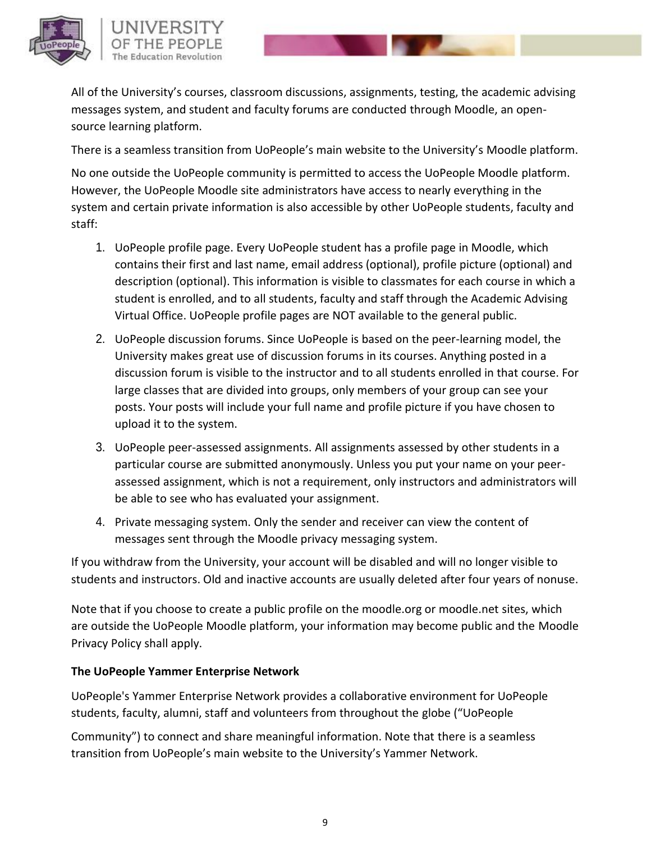All of the University's courses, classroom discussions, assignments, testing, the academic advising messages system, and student and faculty forums are conducted through Moodle, an opensource learning platform.

There is a seamless transition from UoPeople's main website to the University's Moodle platform.

No one outside the UoPeople community is permitted to access the UoPeople Moodle platform. However, the UoPeople Moodle site administrators have access to nearly everything in the system and certain private information is also accessible by other UoPeople students, faculty and staff:

- 1. UoPeople profile page. Every UoPeople student has a profile page in Moodle, which contains their first and last name, email address (optional), profile picture (optional) and description (optional). This information is visible to classmates for each course in which a student is enrolled, and to all students, faculty and staff through the Academic Advising Virtual Office. UoPeople profile pages are NOT available to the general public.
- 2. UoPeople discussion forums. Since UoPeople is based on the peer-learning model, the University makes great use of discussion forums in its courses. Anything posted in a discussion forum is visible to the instructor and to all students enrolled in that course. For large classes that are divided into groups, only members of your group can see your posts. Your posts will include your full name and profile picture if you have chosen to upload it to the system.
- 3. UoPeople peer-assessed assignments. All assignments assessed by other students in a particular course are submitted anonymously. Unless you put your name on your peerassessed assignment, which is not a requirement, only instructors and administrators will be able to see who has evaluated your assignment.
- 4. Private messaging system. Only the sender and receiver can view the content of messages sent through the Moodle privacy messaging system.

If you withdraw from the University, your account will be disabled and will no longer visible to students and instructors. Old and inactive accounts are usually deleted after four years of nonuse.

Note that if you choose to create a public profile on the moodle.org or moodle.net sites, which are outside the UoPeople Moodle platform, your information may become public and the [Moodle](https://moodle.org/mod/page/view.php?id=8148)  [Privacy Policy s](https://moodle.org/mod/page/view.php?id=8148)hall apply.

# **The UoPeople Yammer Enterprise Network**

UoPeople's Yammer Enterprise Network provides a collaborative environment for UoPeople students, faculty, alumni, staff and volunteers from throughout the globe ("UoPeople

Community") to connect and share meaningful information. Note that there is a seamless transition from UoPeople's main website to the University's Yammer Network.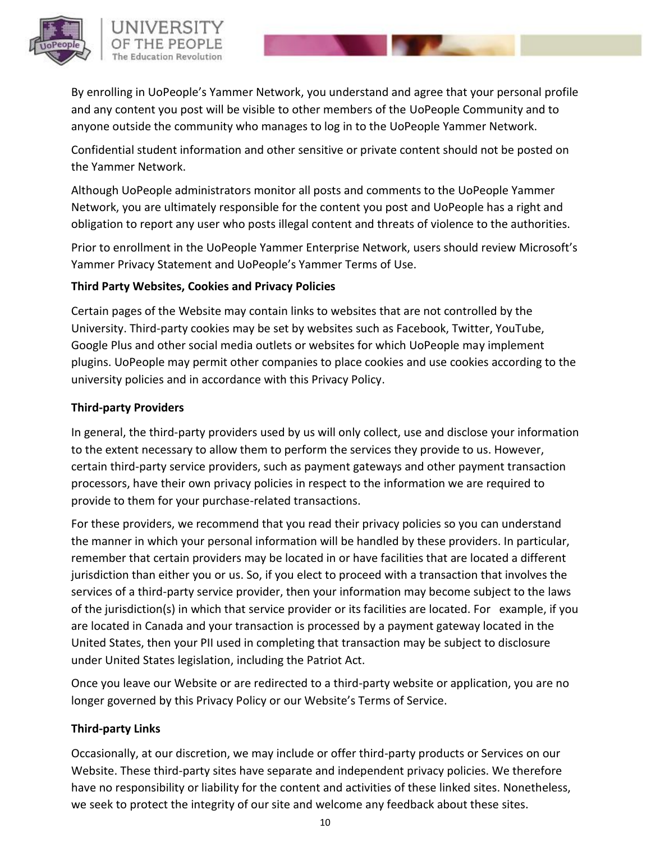

# UNIVERSITY The Education Revolution

By enrolling in UoPeople's Yammer Network, you understand and agree that your personal profile and any content you post will be visible to other members of the UoPeople Community and to anyone outside the community who manages to log in to the UoPeople Yammer Network.

Confidential student information and other sensitive or private content should not be posted on the Yammer Network.

Although UoPeople administrators monitor all posts and comments to the UoPeople Yammer Network, you are ultimately responsible for the content you post and UoPeople has a right and obligation to report any user who posts illegal content and threats of violence to the authorities.

Prior to enrollment in the UoPeople Yammer Enterprise Network, users should review Microsoft's [Yammer Privacy Statement](https://about.yammer.com/privacy/) and UoPeople's Yammer Terms of Use.

#### **Third Party Websites, Cookies and Privacy Policies**

Certain pages of the Website may contain links to websites that are not controlled by the University. Third-party cookies may be set by websites such as Facebook, Twitter, YouTube, Google Plus and other social media outlets or websites for which UoPeople may implement plugins. UoPeople may permit other companies to place cookies and use cookies according to the university policies and in accordance with this Privacy Policy.

# **Third-party Providers**

In general, the third-party providers used by us will only collect, use and disclose your information to the extent necessary to allow them to perform the services they provide to us. However, certain third-party service providers, such as payment gateways and other payment transaction processors, have their own privacy policies in respect to the information we are required to provide to them for your purchase-related transactions.

For these providers, we recommend that you read their privacy policies so you can understand the manner in which your personal information will be handled by these providers. In particular, remember that certain providers may be located in or have facilities that are located a different jurisdiction than either you or us. So, if you elect to proceed with a transaction that involves the services of a third-party service provider, then your information may become subject to the laws of the jurisdiction(s) in which that service provider or its facilities are located. For example, if you are located in Canada and your transaction is processed by a payment gateway located in the United States, then your PII used in completing that transaction may be subject to disclosure under United States legislation, including the Patriot Act.

Once you leave our Website or are redirected to a third-party website or application, you are no longer governed by this Privacy Policy or our Website's Terms of Service.

# **Third-party Links**

Occasionally, at our discretion, we may include or offer third-party products or Services on our Website. These third-party sites have separate and independent privacy policies. We therefore have no responsibility or liability for the content and activities of these linked sites. Nonetheless, we seek to protect the integrity of our site and welcome any feedback about these sites.